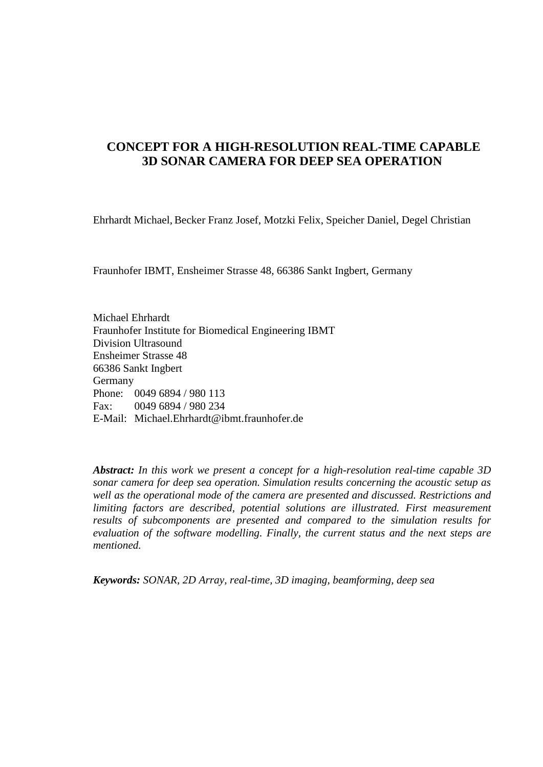# **CONCEPT FOR A HIGH-RESOLUTION REAL-TIME CAPABLE 3D SONAR CAMERA FOR DEEP SEA OPERATION**

Ehrhardt Michael, Becker Franz Josef, Motzki Felix, Speicher Daniel, Degel Christian

Fraunhofer IBMT, Ensheimer Strasse 48, 66386 Sankt Ingbert, Germany

Michael Ehrhardt Fraunhofer Institute for Biomedical Engineering IBMT Division Ultrasound Ensheimer Strasse 48 66386 Sankt Ingbert Germany Phone: 0049 6894 / 980 113 Fax: 0049 6894 / 980 234 E-Mail: [Michael.Ehrhardt@ibmt.fraunhofer.de](mailto:Michael.Ehrhardt@ibmt.fraunhofer.de)

*Abstract: In this work we present a concept for a high-resolution real-time capable 3D sonar camera for deep sea operation. Simulation results concerning the acoustic setup as well as the operational mode of the camera are presented and discussed. Restrictions and limiting factors are described, potential solutions are illustrated. First measurement results of subcomponents are presented and compared to the simulation results for evaluation of the software modelling. Finally, the current status and the next steps are mentioned.*

*Keywords: SONAR, 2D Array, real-time, 3D imaging, beamforming, deep sea*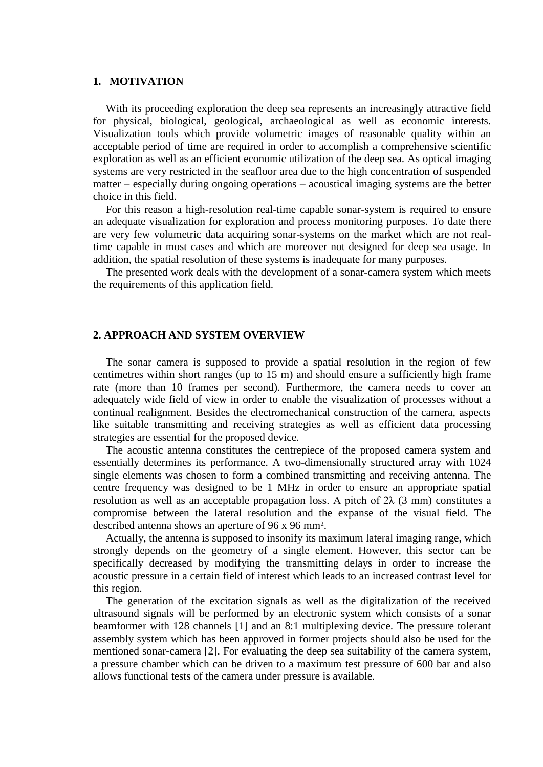## **1. MOTIVATION**

With its proceeding exploration the deep sea represents an increasingly attractive field for physical, biological, geological, [archaeological](http://www.dict.cc/englisch-deutsch/archaeological.html) as well as economic interests. Visualization tools which provide volumetric images of reasonable quality within an acceptable period of time are required in order to accomplish a comprehensive scientific exploration as well as an efficient economic utilization of the deep sea. As optical imaging systems are very restricted in the seafloor area due to the high concentration of suspended matter – especially during ongoing operations – acoustical imaging systems are the better choice in this field.

For this reason a high-resolution real-time capable sonar-system is required to ensure an adequate visualization for exploration and process monitoring purposes. To date there are very few volumetric data acquiring sonar-systems on the market which are not realtime capable in most cases and which are moreover not designed for deep sea usage. In addition, the spatial resolution of these systems is inadequate for many purposes.

The presented work deals with the development of a sonar-camera system which meets the requirements of this application field.

#### **2. APPROACH AND SYSTEM OVERVIEW**

The sonar camera is supposed to provide a spatial resolution in the region of few centimetres within short ranges (up to 15 m) and should ensure a sufficiently high frame rate (more than 10 frames per second). Furthermore, the camera needs to cover an adequately wide field of view in order to enable the visualization of processes without a continual realignment. Besides the electromechanical construction of the camera, aspects like suitable transmitting and receiving strategies as well as efficient data processing strategies are essential for the proposed device.

The acoustic antenna constitutes the centrepiece of the proposed camera system and essentially determines its performance. A two-dimensionally structured array with 1024 single elements was chosen to form a combined transmitting and receiving antenna. The centre frequency was designed to be 1 MHz in order to ensure an appropriate spatial resolution as well as an acceptable propagation loss. A pitch of  $2\lambda$  (3 mm) constitutes a compromise between the lateral resolution and the expanse of the visual field. The described antenna shows an aperture of 96 x 96 mm².

Actually, the antenna is supposed to insonify its maximum lateral imaging range, which strongly depends on the geometry of a single element. However, this sector can be specifically decreased by modifying the transmitting delays in order to increase the acoustic pressure in a certain field of interest which leads to an increased contrast level for this region.

The generation of the excitation signals as well as the digitalization of the received ultrasound signals will be performed by an electronic system which consists of a sonar beamformer with 128 channels [1] and an 8:1 multiplexing device. The pressure tolerant assembly system which has been approved in former projects should also be used for the mentioned sonar-camera [2]. For evaluating the deep sea suitability of the camera system, a pressure chamber which can be driven to a maximum test pressure of 600 bar and also allows functional tests of the camera under pressure is available.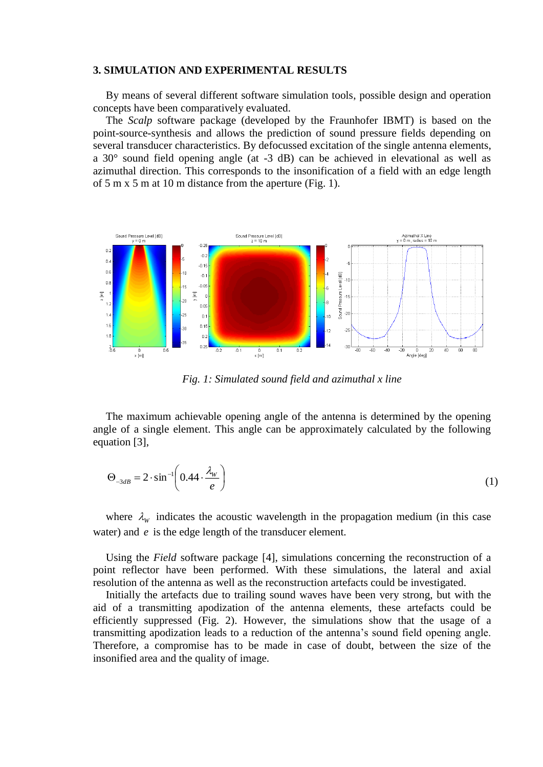#### **3. SIMULATION AND EXPERIMENTAL RESULTS**

By means of several different software simulation tools, possible design and operation concepts have been comparatively evaluated.

The *Scalp* software package (developed by the Fraunhofer IBMT) is based on the point-source-synthesis and allows the prediction of sound pressure fields depending on several transducer characteristics. By defocussed excitation of the single antenna elements, a 30° sound field opening angle (at -3 dB) can be achieved in elevational as well as azimuthal direction. This corresponds to the insonification of a field with an edge length of 5 m x 5 m at 10 m distance from the aperture (Fig. 1).



*Fig. 1: Simulated sound field and azimuthal x line*

The maximum achievable opening angle of the antenna is determined by the opening angle of a single element. This angle can be approximately calculated by the following equation [3],

$$
\Theta_{-3dB} = 2 \cdot \sin^{-1} \left( 0.44 \cdot \frac{\lambda_w}{e} \right) \tag{1}
$$

where  $\lambda_w$  indicates the acoustic wavelength in the propagation medium (in this case water) and *e* is the edge length of the transducer element.

Using the *Field* software package [4], simulations concerning the reconstruction of a point reflector have been performed. With these simulations, the lateral and axial resolution of the antenna as well as the reconstruction artefacts could be investigated.

Initially the artefacts due to trailing sound waves have been very strong, but with the aid of a transmitting apodization of the antenna elements, these artefacts could be efficiently suppressed (Fig. 2). However, the simulations show that the usage of a transmitting apodization leads to a reduction of the antenna's sound field opening angle. Therefore, a compromise has to be made in case of doubt, between the size of the insonified area and the quality of image.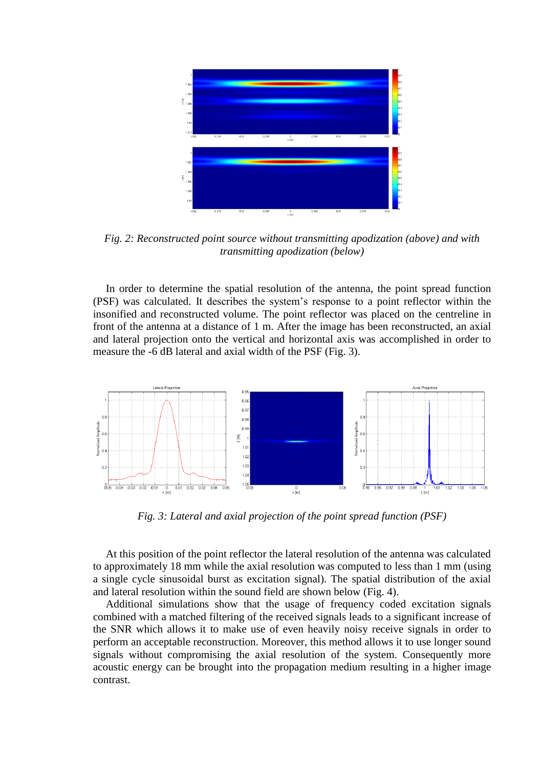

*Fig. 2: Reconstructed point source without transmitting apodization (above) and with transmitting apodization (below)*

In order to determine the spatial resolution of the antenna, the point spread function (PSF) was calculated. It describes the system's response to a point reflector within the insonified and reconstructed volume. The point reflector was placed on the centreline in front of the antenna at a distance of 1 m. After the image has been reconstructed, an axial and lateral projection onto the vertical and horizontal axis was accomplished in order to measure the -6 dB lateral and axial width of the PSF (Fig. 3).



*Fig. 3: Lateral and axial projection of the point spread function (PSF)*

At this position of the point reflector the lateral resolution of the antenna was calculated to approximately 18 mm while the axial resolution was computed to less than 1 mm (using a single cycle sinusoidal burst as excitation signal). The spatial distribution of the axial and lateral resolution within the sound field are shown below (Fig. 4).

Additional simulations show that the usage of frequency coded excitation signals combined with a matched filtering of the received signals leads to a significant increase of the SNR which allows it to make use of even heavily noisy receive signals in order to perform an acceptable reconstruction. Moreover, this method allows it to use longer sound signals without compromising the axial resolution of the system. Consequently more acoustic energy can be brought into the propagation medium resulting in a higher image contrast.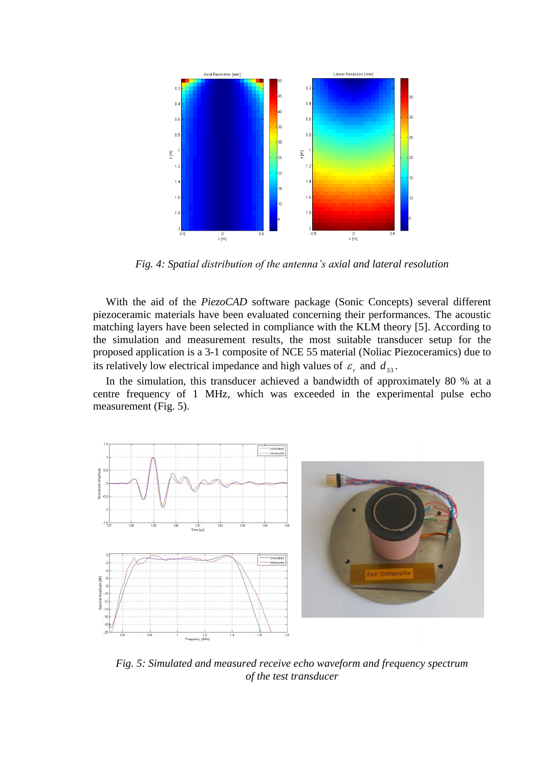

*Fig. 4: Spatial distribution of the antenna's axial and lateral resolution*

With the aid of the *PiezoCAD* software package (Sonic Concepts) several different piezoceramic materials have been evaluated concerning their performances. The acoustic matching layers have been selected in compliance with the KLM theory [5]. According to the simulation and measurement results, the most suitable transducer setup for the proposed application is a 3-1 composite of NCE 55 material (Noliac Piezoceramics) due to its relatively low electrical impedance and high values of  $\varepsilon_r$  and  $d_{33}$ .

In the simulation, this transducer achieved a bandwidth of approximately 80 % at a centre frequency of 1 MHz, which was exceeded in the experimental pulse echo measurement (Fig. 5).



*Fig. 5: Simulated and measured receive echo waveform and frequency spectrum of the test transducer*